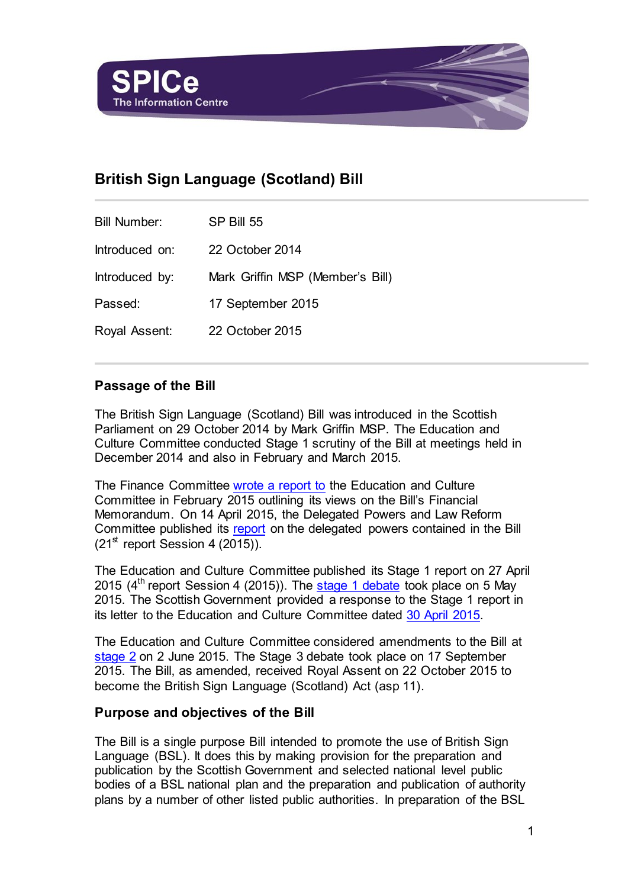

# **British Sign Language (Scotland) Bill**

| <b>Bill Number:</b> | SP Bill 55                       |
|---------------------|----------------------------------|
| Introduced on:      | 22 October 2014                  |
| Introduced by:      | Mark Griffin MSP (Member's Bill) |
| Passed:             | 17 September 2015                |
| Royal Assent:       | 22 October 2015                  |

## **Passage of the Bill**

The British Sign Language (Scotland) Bill was introduced in the Scottish Parliament on 29 October 2014 by Mark Griffin MSP. The Education and Culture Committee conducted Stage 1 scrutiny of the Bill at meetings held in December 2014 and also in February and March 2015.

The Finance Committee [wrote a report to](http://www.scottish.parliament.uk/parliamentarybusiness/CurrentCommittees/88817.aspx) the Education and Culture Committee in February 2015 outlining its views on the Bill's Financial Memorandum. On 14 April 2015, the Delegated Powers and Law Reform Committee published its [report](http://www.scottish.parliament.uk/S4_SubordinateLegislationCommittee/Reports/sur-15-21w.pdf) on the delegated powers contained in the Bill  $(21<sup>st</sup>$  report Session 4 (2015)).

The Education and Culture Committee published its Stage 1 report on 27 April 2015 ( $4<sup>th</sup>$  report Session 4 (2015)). The [stage 1 debate](http://www.scottish.parliament.uk/parliamentarybusiness/report.aspx?r=9933&i=90939) took place on 5 May 2015. The Scottish Government provided a response to the Stage 1 report in its letter to the Education and Culture Committee dated [30 April 2015.](http://www.scottish.parliament.uk/S4_EducationandCultureCommittee/BSLBill_SGstage1_Apr2015.pdf)

The Education and Culture Committee considered amendments to the Bill at [stage 2](http://www.scottish.parliament.uk/parliamentarybusiness/report.aspx?r=9990) on 2 June 2015. The Stage 3 debate took place on 17 September 2015. The Bill, as amended, received Royal Assent on 22 October 2015 to become the British Sign Language (Scotland) Act (asp 11).

#### **Purpose and objectives of the Bill**

The Bill is a single purpose Bill intended to promote the use of British Sign Language (BSL). It does this by making provision for the preparation and publication by the Scottish Government and selected national level public bodies of a BSL national plan and the preparation and publication of authority plans by a number of other listed public authorities. In preparation of the BSL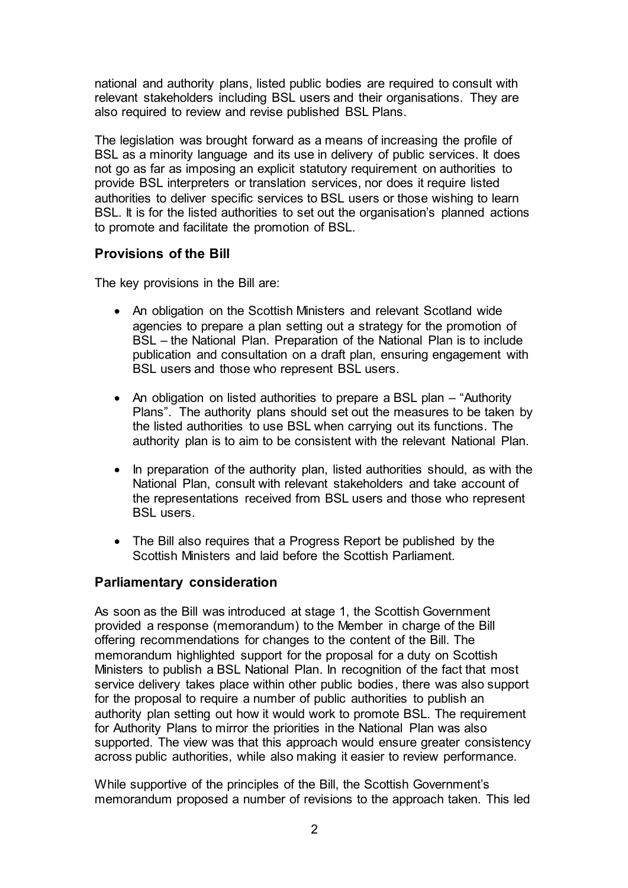national and authority plans, listed public bodies are required to consult with relevant stakeholders including BSL users and their organisations. They are also required to review and revise published BSL Plans.

The legislation was brought forward as a means of increasing the profile of BSL as a minority language and its use in delivery of public services. It does not go as far as imposing an explicit statutory requirement on authorities to provide BSL interpreters or translation services, nor does it require listed authorities to deliver specific services to BSL users or those wishing to learn BSL. It is for the listed authorities to set out the organisation's planned actions to promote and facilitate the promotion of BSL.

## **Provisions of the Bill**

The key provisions in the Bill are:

- An obligation on the Scottish Ministers and relevant Scotland wide agencies to prepare a plan setting out a strategy for the promotion of BSL – the National Plan. Preparation of the National Plan is to include publication and consultation on a draft plan, ensuring engagement with BSL users and those who represent BSL users.
- An obligation on listed authorities to prepare a BSL plan "Authority" Plans". The authority plans should set out the measures to be taken by the listed authorities to use BSL when carrying out its functions. The authority plan is to aim to be consistent with the relevant National Plan.
- In preparation of the authority plan, listed authorities should, as with the National Plan, consult with relevant stakeholders and take account of the representations received from BSL users and those who represent BSL users.
- The Bill also requires that a Progress Report be published by the Scottish Ministers and laid before the Scottish Parliament.

## **Parliamentary consideration**

As soon as the Bill was introduced at stage 1, the Scottish Government provided a response (memorandum) to the Member in charge of the Bill offering recommendations for changes to the content of the Bill. The memorandum highlighted support for the proposal for a duty on Scottish Ministers to publish a BSL National Plan. In recognition of the fact that most service delivery takes place within other public bodies, there was also support for the proposal to require a number of public authorities to publish an authority plan setting out how it would work to promote BSL. The requirement for Authority Plans to mirror the priorities in the National Plan was also supported. The view was that this approach would ensure greater consistency across public authorities, while also making it easier to review performance.

While supportive of the principles of the Bill, the Scottish Government's memorandum proposed a number of revisions to the approach taken. This led